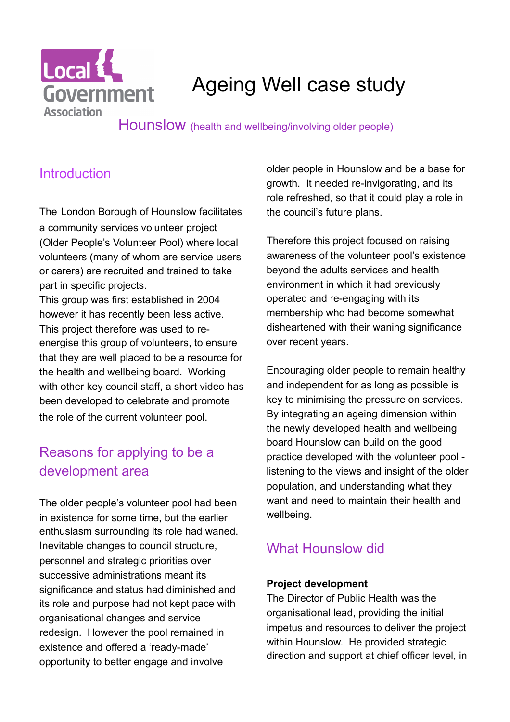

# Ageing Well case study

Hounslow (health and wellbeing/involving older people)

# **Introduction**

The London Borough of Hounslow facilitates a community services volunteer project (Older People's Volunteer Pool) where local volunteers (many of whom are service users or carers) are recruited and trained to take part in specific projects.

This group was first established in 2004 however it has recently been less active. This project therefore was used to reenergise this group of volunteers, to ensure that they are well placed to be a resource for the health and wellbeing board. Working with other key council staff, a short video has been developed to celebrate and promote the role of the current volunteer pool.

# Reasons for applying to be a development area

The older people's volunteer pool had been in existence for some time, but the earlier enthusiasm surrounding its role had waned. Inevitable changes to council structure, personnel and strategic priorities over successive administrations meant its significance and status had diminished and its role and purpose had not kept pace with organisational changes and service redesign. However the pool remained in existence and offered a 'ready-made' opportunity to better engage and involve

older people in Hounslow and be a base for growth. It needed re-invigorating, and its role refreshed, so that it could play a role in the council's future plans.

Therefore this project focused on raising awareness of the volunteer pool's existence beyond the adults services and health environment in which it had previously operated and re-engaging with its membership who had become somewhat disheartened with their waning significance over recent years.

Encouraging older people to remain healthy and independent for as long as possible is key to minimising the pressure on services. By integrating an ageing dimension within the newly developed health and wellbeing board Hounslow can build on the good practice developed with the volunteer pool listening to the views and insight of the older population, and understanding what they want and need to maintain their health and wellbeing.

# What Hounslow did

#### **Project development**

The Director of Public Health was the organisational lead, providing the initial impetus and resources to deliver the project within Hounslow. He provided strategic direction and support at chief officer level, in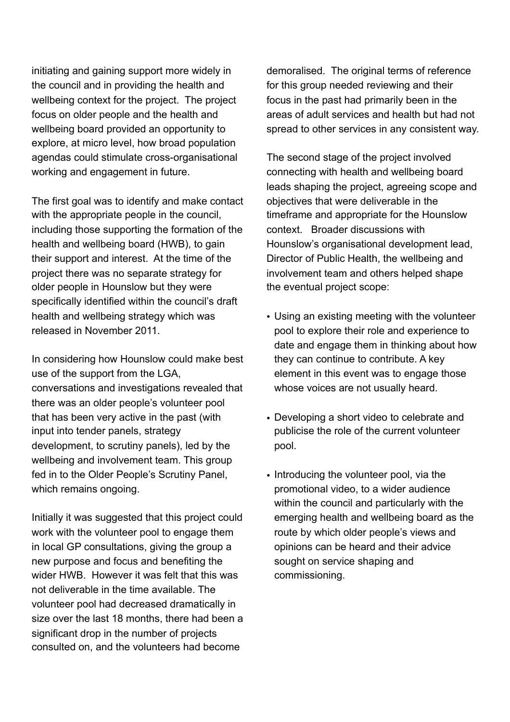initiating and gaining support more widely in the council and in providing the health and wellbeing context for the project. The project focus on older people and the health and wellbeing board provided an opportunity to explore, at micro level, how broad population agendas could stimulate cross-organisational working and engagement in future.

The first goal was to identify and make contact with the appropriate people in the council, including those supporting the formation of the health and wellbeing board (HWB), to gain their support and interest. At the time of the project there was no separate strategy for older people in Hounslow but they were specifically identified within the council's draft health and wellbeing strategy which was released in November 2011.

In considering how Hounslow could make best use of the support from the LGA, conversations and investigations revealed that there was an older people's volunteer pool that has been very active in the past (with input into tender panels, strategy development, to scrutiny panels), led by the wellbeing and involvement team. This group fed in to the Older People's Scrutiny Panel, which remains ongoing.

Initially it was suggested that this project could work with the volunteer pool to engage them in local GP consultations, giving the group a new purpose and focus and benefiting the wider HWB. However it was felt that this was not deliverable in the time available. The volunteer pool had decreased dramatically in size over the last 18 months, there had been a significant drop in the number of projects consulted on, and the volunteers had become

demoralised. The original terms of reference for this group needed reviewing and their focus in the past had primarily been in the areas of adult services and health but had not spread to other services in any consistent way.

The second stage of the project involved connecting with health and wellbeing board leads shaping the project, agreeing scope and objectives that were deliverable in the timeframe and appropriate for the Hounslow context. Broader discussions with Hounslow's organisational development lead, Director of Public Health, the wellbeing and involvement team and others helped shape the eventual project scope:

- Using an existing meeting with the volunteer pool to explore their role and experience to date and engage them in thinking about how they can continue to contribute. A key element in this event was to engage those whose voices are not usually heard.
- Developing a short video to celebrate and publicise the role of the current volunteer pool.
- Introducing the volunteer pool, via the promotional video, to a wider audience within the council and particularly with the emerging health and wellbeing board as the route by which older people's views and opinions can be heard and their advice sought on service shaping and commissioning.